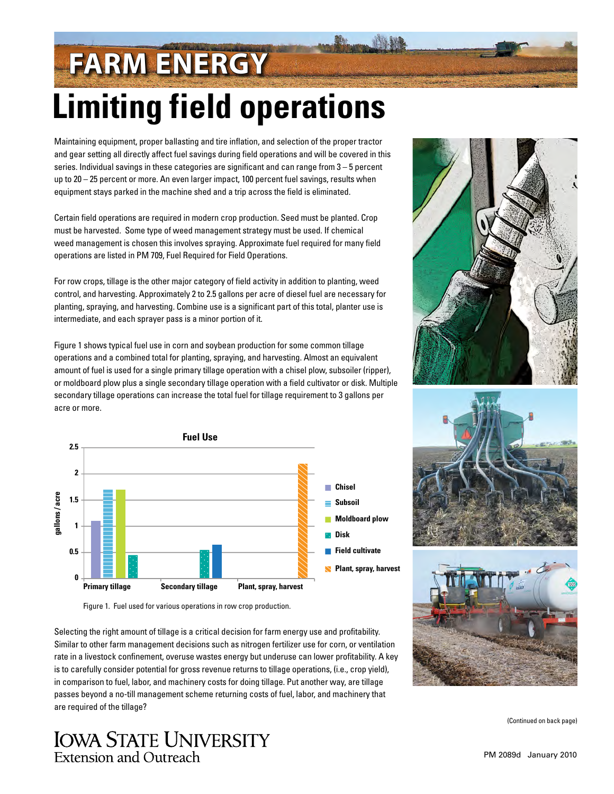## **Limiting field operations FARM ENERGY**

Maintaining equipment, proper ballasting and tire inflation, and selection of the proper tractor and gear setting all directly affect fuel savings during field operations and will be covered in this series. Individual savings in these categories are significant and can range from 3 – 5 percent up to 20 – 25 percent or more. An even larger impact, 100 percent fuel savings, results when equipment stays parked in the machine shed and a trip across the field is eliminated.

Certain field operations are required in modern crop production. Seed must be planted. Crop must be harvested. Some type of weed management strategy must be used. If chemical weed management is chosen this involves spraying. Approximate fuel required for many field operations are listed in [PM 709, Fuel Required for Field Operations.](http://www.extension.iastate.edu/Publications/PM709.pdf)

For row crops, tillage is the other major category of field activity in addition to planting, weed control, and harvesting. Approximately 2 to 2.5 gallons per acre of diesel fuel are necessary for planting, spraying, and harvesting. Combine use is a significant part of this total, planter use is intermediate, and each sprayer pass is a minor portion of it.

Figure 1 shows typical fuel use in corn and soybean production for some common tillage operations and a combined total for planting, spraying, and harvesting. Almost an equivalent amount of fuel is used for a single primary tillage operation with a chisel plow, subsoiler (ripper), or moldboard plow plus a single secondary tillage operation with a field cultivator or disk. Multiple secondary tillage operations can increase the total fuel for tillage requirement to 3 gallons per acre or more.







Figure 1. Fuel used for various operations in row crop production.

Selecting the right amount of tillage is a critical decision for farm energy use and profitability. Similar to other farm management decisions such as nitrogen fertilizer use for corn, or ventilation rate in a livestock confinement, overuse wastes energy but underuse can lower profitability. A key is to carefully consider potential for gross revenue returns to tillage operations, (i.e., crop yield), in comparison to fuel, labor, and machinery costs for doing tillage. Put another way, are tillage passes beyond a no-till management scheme returning costs of fuel, labor, and machinery that are required of the tillage?



(Continued on back page)

## **IOWA STATE UNIVERSITY Extension and Outreach**